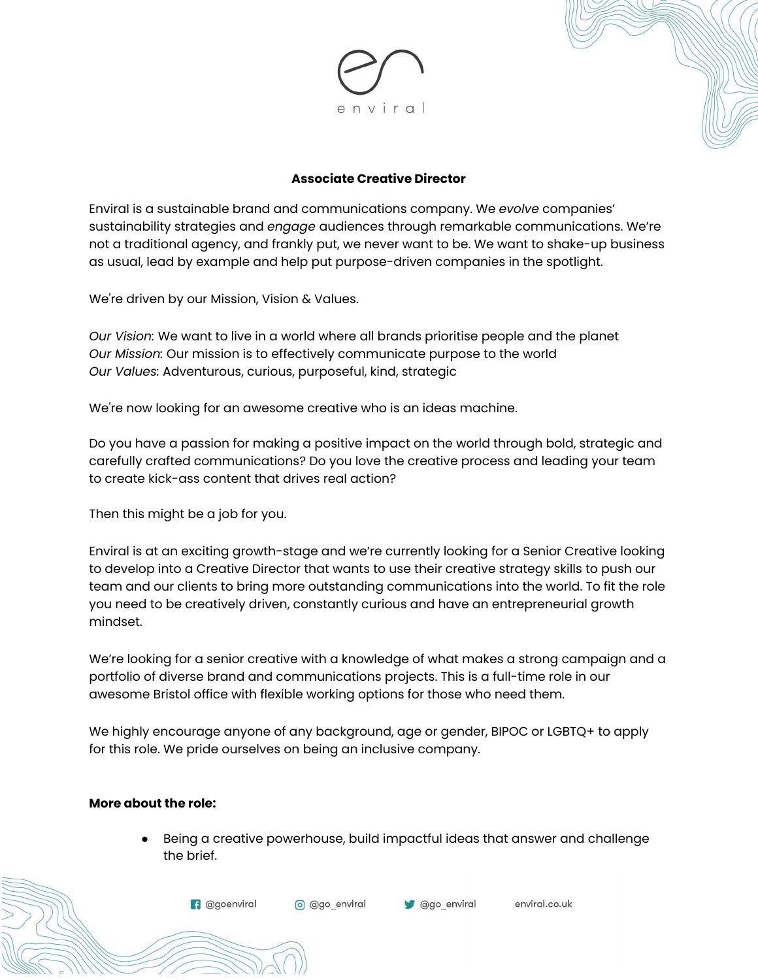

#### **Associate Creative Director**

Enviral is a sustainable brand and communications company. We *evolve* companies' sustainability strategies and *engage* audiences through remarkable communications. We're not a traditional agency, and frankly put, we never want to be. We want to shake-up business as usual, lead by example and help put purpose-driven companies in the spotlight.

We're driven by our Mission, Vision & Values.

*Our Vision:* We want to live in a world where all brands prioritise people and the planet *Our Mission:* Our mission is to effectively communicate purpose to the world *Our Values:* Adventurous, curious, purposeful, kind, strategic

We're now looking for an awesome creative who is an ideas machine.

Do you have a passion for making a positive impact on the world through bold, strategic and carefully crafted communications? Do you love the creative process and leading your team to create kick-ass content that drives real action?

Then this might be a job for you.

Enviral is at an exciting growth-stage and we're currently looking for a Senior Creative looking to develop into a Creative Director that wants to use their creative strategy skills to push our team and our clients to bring more outstanding communications into the world. To fit the role you need to be creatively driven, constantly curious and have an entrepreneurial growth mindset.

We're looking for a senior creative with a knowledge of what makes a strong campaign and a portfolio of diverse brand and communications projects. This is a full-time role in our awesome Bristol office with flexible working options for those who need them.

We highly encourage anyone of any background, age or gender, BIPOC or LGBTQ+ to apply for this role. We pride ourselves on being an inclusive company.

#### **More about the role:**

Being a creative powerhouse, build impactful ideas that answer and challenge the brief.

**f** @goenviral

o @go\_enviral



enviral.co.uk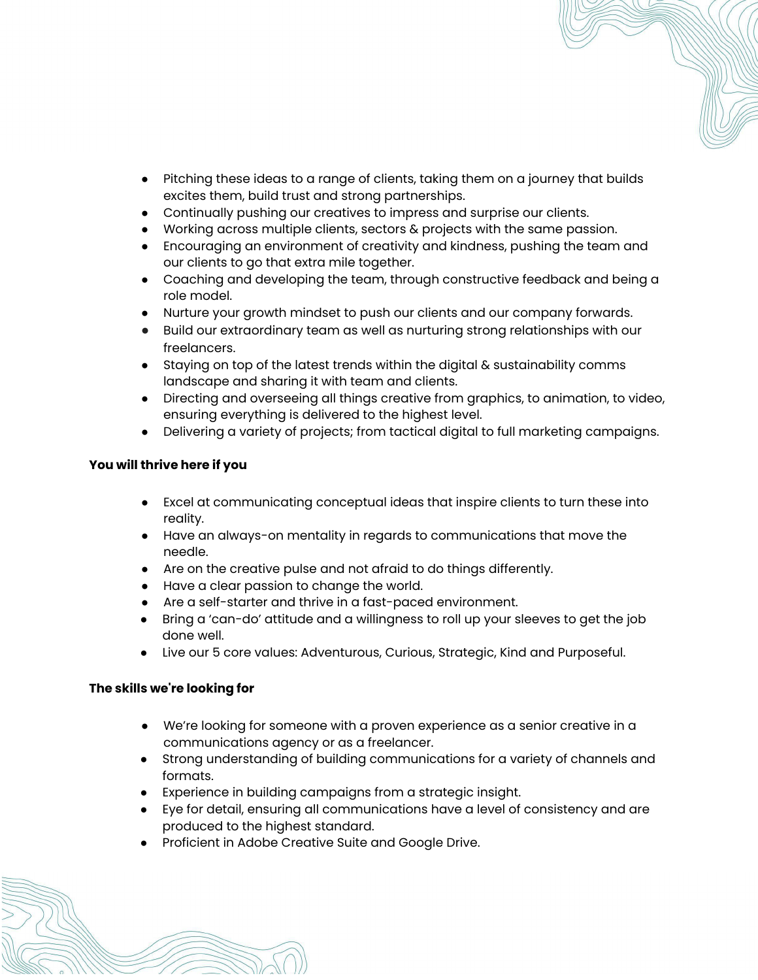- Pitching these ideas to a range of clients, taking them on a journey that builds excites them, build trust and strong partnerships.
- Continually pushing our creatives to impress and surprise our clients.
- Working across multiple clients, sectors & projects with the same passion.
- Encouraging an environment of creativity and kindness, pushing the team and our clients to go that extra mile together.
- Coaching and developing the team, through constructive feedback and being a role model.
- Nurture your growth mindset to push our clients and our company forwards.
- Build our extraordinary team as well as nurturing strong relationships with our freelancers.
- Staying on top of the latest trends within the digital & sustainability comms landscape and sharing it with team and clients.
- Directing and overseeing all things creative from graphics, to animation, to video, ensuring everything is delivered to the highest level.
- Delivering a variety of projects; from tactical digital to full marketing campaigns.

## **You will thrive here if you**

- Excel at communicating conceptual ideas that inspire clients to turn these into reality.
- Have an always-on mentality in regards to communications that move the needle.
- Are on the creative pulse and not afraid to do things differently.
- Have a clear passion to change the world.
- Are a self-starter and thrive in a fast-paced environment.
- Bring a 'can-do' attitude and a willingness to roll up your sleeves to get the job done well.
- Live our 5 core values: Adventurous, Curious, Strategic, Kind and Purposeful.

## **The skills we're looking for**

- We're looking for someone with a proven experience as a senior creative in a communications agency or as a freelancer.
- Strong understanding of building communications for a variety of channels and formats.
- Experience in building campaigns from a strategic insight.
- Eye for detail, ensuring all communications have a level of consistency and are produced to the highest standard.
- Proficient in Adobe Creative Suite and Google Drive.